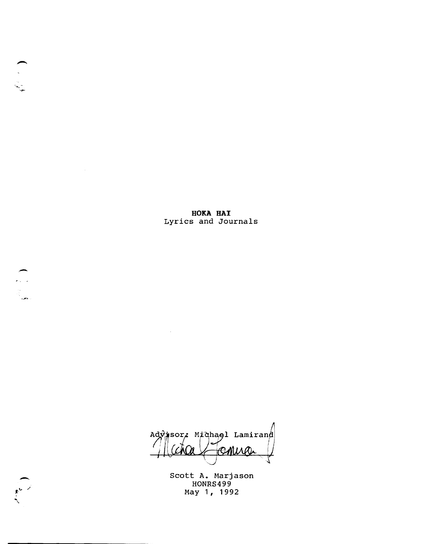**HOKA HAl**  Lyrics and Journals

 $\sim$   $\sim$ 

Advisor, Michael Lamirand comic

scott A. Marjason HONRS499 May 1, 1992



-a Carlos<br>Santa<br>Carlos

--. ".r-'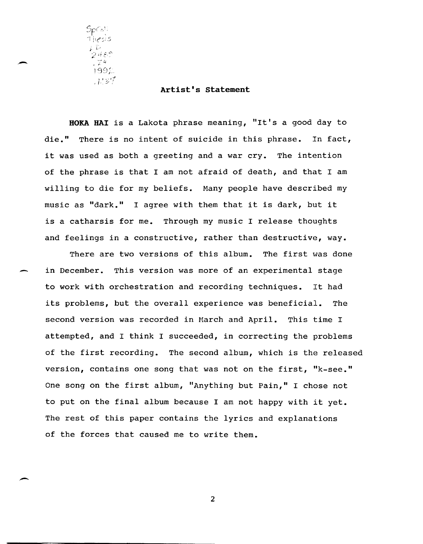$\mathsf{SpCo}^{\mathrm{tr}}_{\mathbb{Z}}$ 9489  $\frac{1}{2}$   $\frac{1}{2}$  4  $1992$ ្គរះទៅ

-

#### **Artist's statement**

**BORA HAl** is a Lakota phrase meaning, "It's a good day to die." There is no intent of suicide in this phrase. In fact, it was used as both a greeting and a war cry. The intention of the phrase is that I am not afraid of death, and that I am willing to die for my beliefs. Many people have described my music as "dark." I agree with them that it is dark, but it is a catharsis for me. Through my music I release thoughts and feelings in a constructive, rather than destructive, way.

There are two versions of this album. The first was done in December. This version was more of an experimental stage to work with orchestration and recording techniques. It had its problems, but the overall experience was beneficial. The second version was recorded in March and April. This time I attempted, and I think I succeeded, in correcting the problems of the first recording. The second album, which is the released version, contains one song that was not on the first, "k-see." One song on the first album, "Anything but Pain," I chose not to put on the final album because I am not happy with it yet. The rest of this paper contains the lyrics and explanations of the forces that caused me to write them.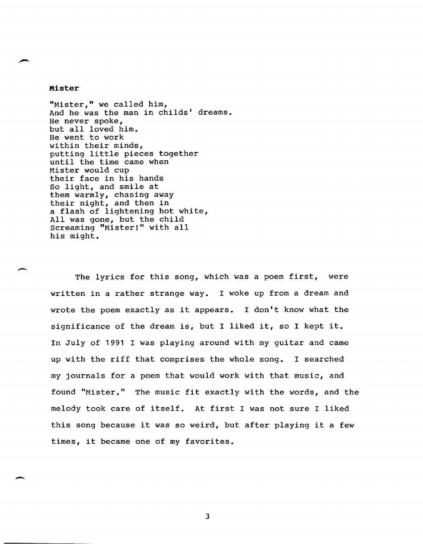## **Mister**

-

"Mister," we called him, And he was the man in childs' dreams. He never spoke, but all loved him. He went to work within their minds, putting little pieces together until the time came when Mister would cup their face in his hands So light, and smile at them warmly, chasing away their night, and then in a flash of lightening hot white, All was gone, but the child Screaming "Mister!" with all his might.

The lyrics for this song, which was a poem first, were written in a rather strange way. I woke up from a dream and wrote the poem exactly as it appears. I don't know what the significance of the dream is, but I liked it, so I kept it. In July of 1991 I was playing around with my guitar and came up with the riff that comprises the whole song. I searched my journals for a poem that would work with that music, and found "Mister." The music fit exactly with the words, and the melody took care of itself. At first I was not sure I liked this song because it was so weird, but after playing it a few times, it became one of my favorites.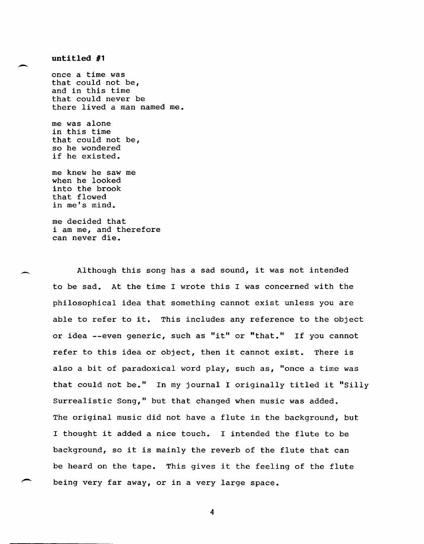## untitled #1

-

-

once a time was that could not be, and in this time that could never be there lived a man named me.

me was alone in this time that could not be, so he wondered if he existed.

me knew he saw me when he looked into the brook that flowed in me's mind.

me decided that i am me, and therefore can never die.

Although this song has a sad sound, it was not intended to be sad. At the time I wrote this I was concerned with the philosophical idea that something cannot exist unless you are able to refer to it. This includes any reference to the object or idea --even generic, such as "it" or "that." If you cannot refer to this idea or object, then it cannot exist. There is also a bit of paradoxical word play, such as, "once a time was that could not be." In my journal I originally titled it "Silly Surrealistic Song," but that changed when music was added. The original music did not have a flute in the background, but I thought it added a nice touch. I intended the flute to be background, so it is mainly the reverb of the flute that can be heard on the tape. This gives it the feeling of the flute being very far away, or in a very large space.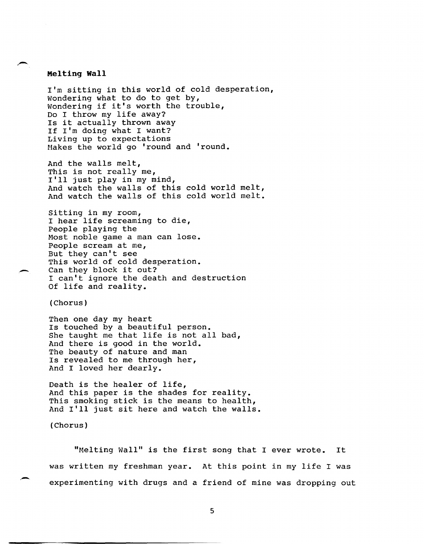## **Melting Wall**

,-

I'm sitting in this world of cold desperation, Wondering what to do to get by, Wondering if it's worth the trouble, Do I throw my life away? Is it actually thrown away If I'm doing what I want? Living up to expectations Makes the world go 'round and 'round.

And the walls melt, This is not really me, I'll just play in my mind, And watch the walls of this cold world melt, And watch the walls of this cold world melt.

Sitting in my room, I hear life screaming to die, People playing the Most noble game a man can lose. People scream at me, But they can't see This world of cold desperation. Can they block it out? I can't ignore the death and destruction Of life and reality.

(Chorus)

Then one day my heart Is touched by a beautiful person. She taught me that life is not all bad, And there is good in the world. The beauty of nature and man Is revealed to me through her, And I loved her dearly.

Death is the healer of life, And this paper is the shades for reality. This smoking stick is the means to health, And I'll just sit here and watch the walls.

(Chorus)

.-

"Melting Wall" is the first song that I ever wrote. It was written my freshman year. At this point in my life I was experimenting with drugs and a friend of mine was dropping out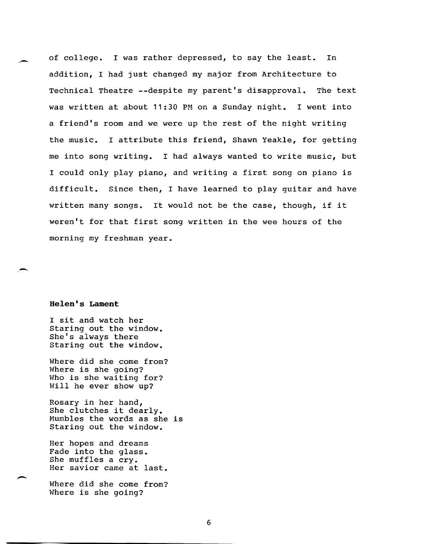of college. I was rather depressed, to say the least. In addition, I had just changed my major from Architecture to Technical Theatre --despite my parent's disapproval. The text was written at about 11:30 PM on a Sunday night. I went into a friend's room and we were up the rest of the night writing the music. I attribute this friend, Shawn Yeakle, for getting me into song writing. I had always wanted to write music, but I could only play piano, and writing a first song on piano is difficult. Since then, I have learned to play guitar and have written many songs. It would not be the case, though, if it weren't for that first song written in the wee hours of the morning my freshman year.

## **Helen's Lament**

-

-

I sit and watch her Staring out the window. She's always there Staring out the window.

Where did she come from? Where is she going? Who is she waiting for? Will he ever show up?

Rosary in her hand, She clutches it dearly. Mumbles the words as she is Staring out the window.

Her hopes and dreams Fade into the glass. She muffles a cry. Her savior came at last.

Where did she come from? Where is she going?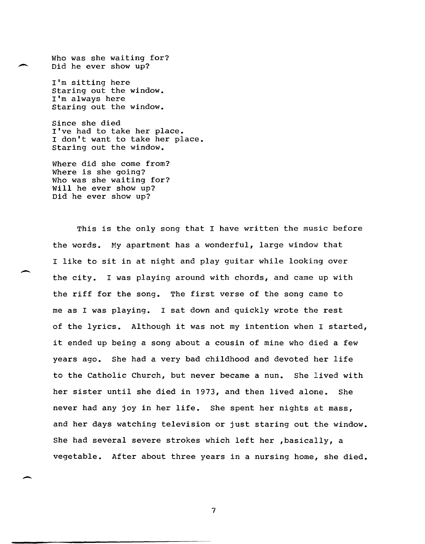Who was she waiting for? Did he ever show up?

> I'm sitting here Staring out the window. I'm always here Staring out the window.

Since she died I've had to take her place. I don't want to take her place. Staring out the window.

Where did she come from? Where is she going? Who was she waiting for? Will he ever show up? Did he ever show up?

This is the only song that I have written the music before the words. My apartment has a wonderful, large window that I like to sit in at night and play guitar while looking over the city. I was playing around with chords, and came up with the riff for the song. The first verse of the song came to me as I was playing. I sat down and quickly wrote the rest of the lyrics. Although it was not my intention when I started, it ended up being a song about a cousin of mine who died a few years ago. She had a very bad childhood and devoted her life to the Catholic Church, but never became a nun. She lived with her sister until she died in 1973, and then lived alone. She never had any joy in her life. She spent her nights at mass, and her days watching television or just staring out the window. She had several severe strokes which left her ,basically, a vegetable. After about three years in a nursing home, she died.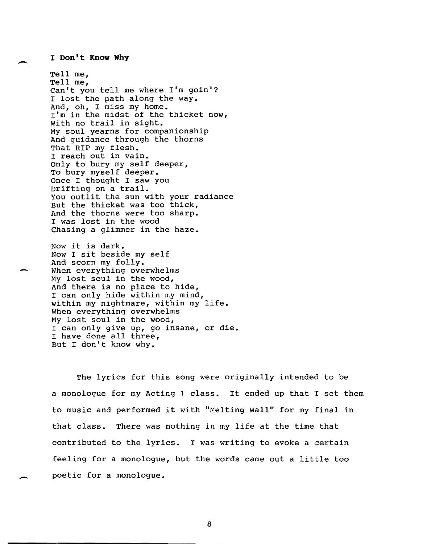## - **I Don't Know Why**

-

Tell me, Tell me, Can't you tell me where **I'm** goin'? I lost the path along the way. And, oh, I miss my home. I'm in the midst of the thicket now, With no trail in sight. My soul yearns for companionship And guidance through the thorns That RIP my flesh. I reach out in vain. Only to bury my self deeper, To bury myself deeper. Once I thought I saw you Drifting on a trail. You outlit the sun with your radiance But the thicket was too thick, And the thorns were too sharp. I was lost in the wood Chasing a glimmer in the haze.

Now it is dark. Now I sit beside my self And scorn my folly. When everything overwhelms My lost soul in the wood, And there is no place to hide, I can only hide within my mind, within my nightmare, within my life. When everything overwhelms My lost soul in the wood, I can only give up, go insane, or die. I have done all three, But I don't know why.

The lyrics for this song were originally intended to be a monologue for my Acting 1 class. It ended up that I set them to music and performed it with "Melting Wall" for my final in that class. There was nothing in my life at the time that contributed to the lyrics. I was writing to evoke a certain feeling for a monologue, but the words came out a little too poetic for a monologue.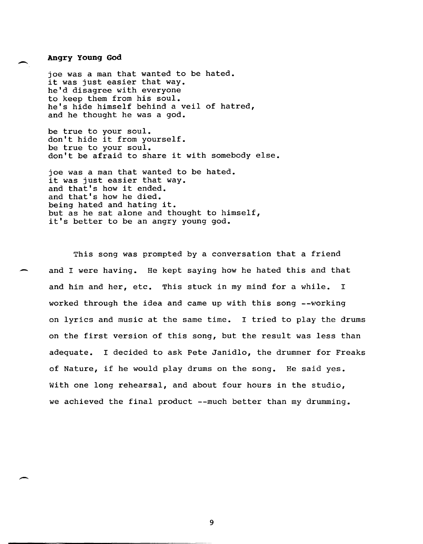## **Angry Young God**

joe was a man that wanted to be hated. it was just easier that way. he'd disagree with everyone to keep them from his soul. he's hide himself behind a veil of hatred, and he thought he was a god.

be true to your soul. don't hide it from yourself. be true to your soul. don't be afraid to share it with somebody else.

joe was a man that wanted to be hated. it was just easier that way. and that's how it ended. and that's how he died. being hated and hating it. but as he sat alone and thought to himself, it's better to be an angry young god.

This song was prompted by a conversation that a friend and I were having. He kept saying how he hated this and that and him and her, etc. This stuck in my mind for a while. I worked through the idea and came up with this song --working on lyrics and music at the same time. I tried to play the drums on the first version of this song, but the result was less than adequate. I decided to ask Pete Janidlo, the drummer for Freaks of Nature, if he would play drums on the song. He said yes. With one long rehearsal, and about four hours in the studio, we achieved the final product --much better than my drumming.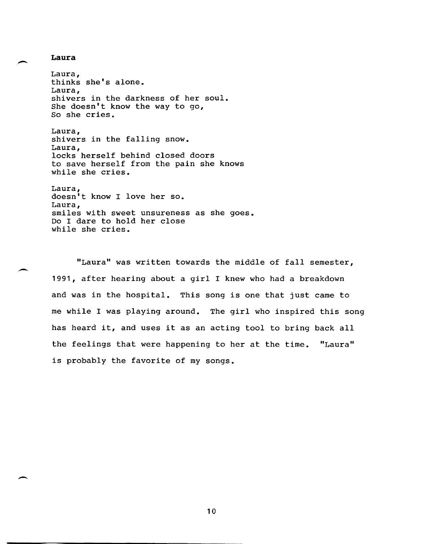**Laura** 

--

--

Laura, thinks she's alone. Laura, shivers in the darkness of her soul. She doesn't know the way to go, So she cries.

Laura, shivers in the falling snow. Laura, locks herself behind closed doors to save herself from the pain she knows while she cries.

Laura, doesn't know I love her so. Laura, smiles with sweet unsureness as she goes. Do I dare to hold her close while she cries.

"Laura" was written towards the middle of fall semester, 1991, after hearing about a girl I knew who had a breakdown and was in the hospital. This song is one that just came to me while I was playing around. The girl who inspired this song has heard it, and uses it as an acting tool to bring back all the feelings that were happening to her at the time. "Laura" is probably the favorite of my songs.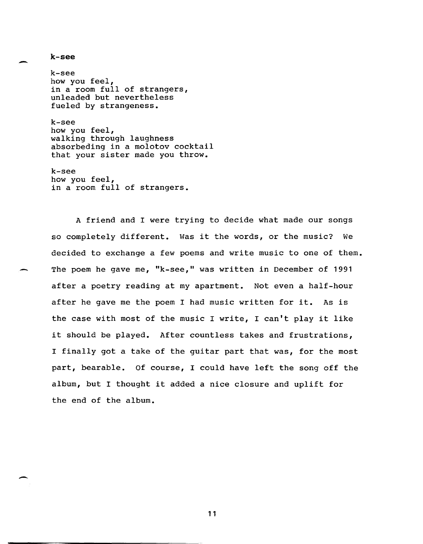- **k-see** 

-

k-see how you feel, in a room full of strangers, unleaded but nevertheless fueled by strangeness.

k-see how you feel, walking through laughness absorbeding in a molotov cocktail that your sister made you throw.

k-see how you feel, in a room full of strangers.

A friend and I were trying to decide what made our songs so completely different. Was it the words, or the music? We decided to exchange a few poems and write music to one of them. The poem he gave me, "k-see," was written in December of 1991 after a poetry reading at my apartment. Not even a half-hour after he gave me the poem I had music written for it. As is the case with most of the music I write, I can't play it like it should be played. After countless takes and frustrations, I finally got a take of the guitar part that was, for the most part, bearable. Of course, I could have left the song off the album, but I thought it added a nice closure and uplift for the end of the album.